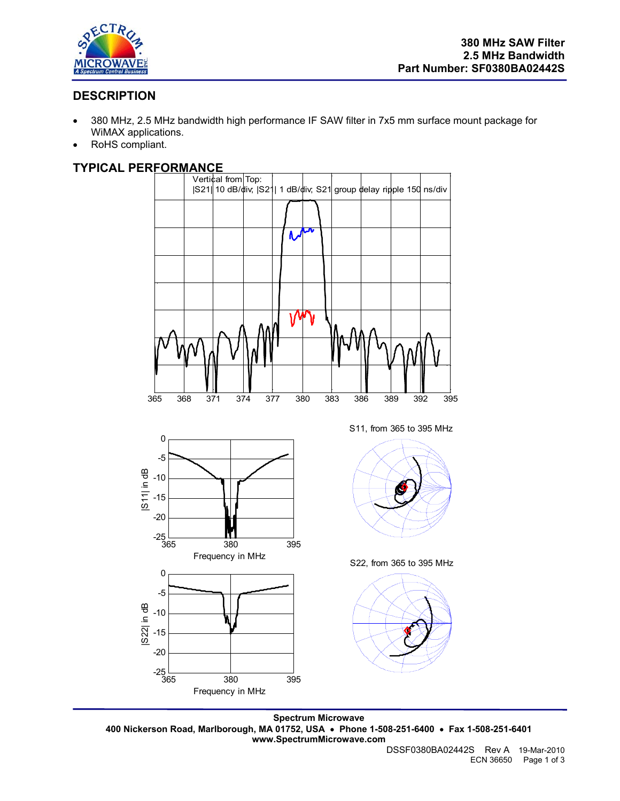

# **DESCRIPTION**

- 380 MHz, 2.5 MHz bandwidth high performance IF SAW filter in 7x5 mm surface mount package for WiMAX applications.
- RoHS compliant.

## **TYPICAL PERFORMANCE**



**Spectrum Microwave 400 Nickerson Road, Marlborough, MA 01752, USA** • **Phone 1-508-251-6400** • **Fax 1-508-251-6401 www.SpectrumMicrowave.com**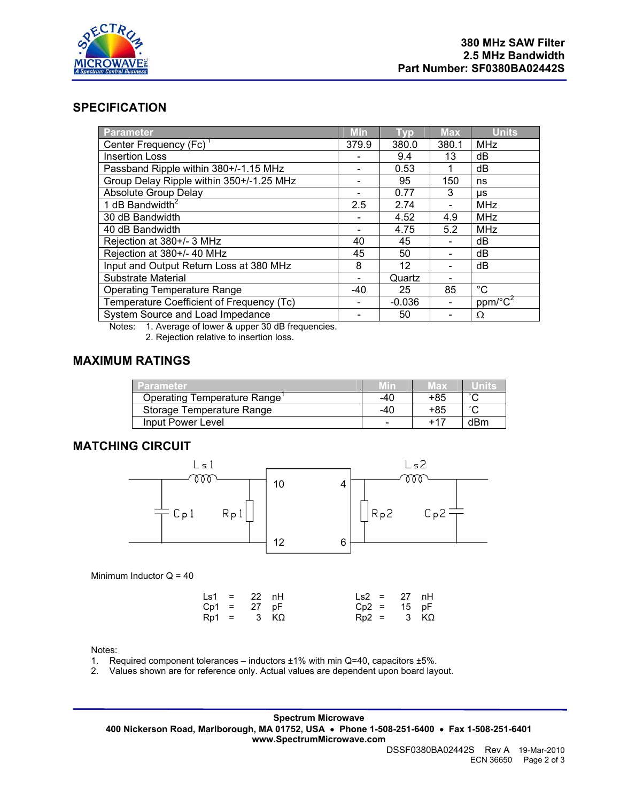

### **SPECIFICATION**

| <b>Parameter</b>                          | <b>Min</b> | <b>Typ</b> | <b>Max</b> | <b>Units</b>            |
|-------------------------------------------|------------|------------|------------|-------------------------|
| Center Frequency (Fc)                     | 379.9      | 380.0      | 380.1      | MHz                     |
| Insertion Loss                            |            | 9.4        | 13         | dB                      |
| Passband Ripple within 380+/-1.15 MHz     |            | 0.53       |            | dB                      |
| Group Delay Ripple within 350+/-1.25 MHz  |            | 95         | 150        | ns                      |
| <b>Absolute Group Delay</b>               |            | 0.77       | 3          | μs                      |
| 1 dB Bandwidth <sup>2</sup>               | 2.5        | 2.74       |            | <b>MHz</b>              |
| 30 dB Bandwidth                           |            | 4.52       | 4.9        | <b>MHz</b>              |
| 40 dB Bandwidth                           |            | 4.75       | 5.2        | MHz                     |
| Rejection at 380+/- 3 MHz                 | 40         | 45         |            | dB                      |
| Rejection at 380+/- 40 MHz                | 45         | 50         |            | dB                      |
| Input and Output Return Loss at 380 MHz   | 8          | 12         |            | dB                      |
| Substrate Material                        |            | Quartz     |            |                         |
| <b>Operating Temperature Range</b>        | -40        | 25         | 85         | $^{\circ}C$             |
| Temperature Coefficient of Frequency (Tc) |            | $-0.036$   |            | $ppm/\sqrt{\text{C}^2}$ |
| System Source and Load Impedance          |            | 50         |            | Ω                       |

Notes: 1. Average of lower & upper 30 dB frequencies.

2. Rejection relative to insertion loss.

#### **MAXIMUM RATINGS**

| Parameter                   |                          | Max | Units  |
|-----------------------------|--------------------------|-----|--------|
| Operating Temperature Range | -40                      | +85 | $\sim$ |
| Storage Temperature Range   | -40                      | +85 | $\sim$ |
| Input Power Level           | $\overline{\phantom{0}}$ | +17 | dBm    |

#### **MATCHING CIRCUIT**



Minimum Inductor  $Q = 40$ 

|  | $\text{Ls1} = 22 \text{ nH}$ | $\text{Ls2} = 27 \text{ nH}$ |  |
|--|------------------------------|------------------------------|--|
|  | $Cp1 = 27 pF$                | $Cp2 = 15 pF$                |  |
|  | $Rp1 = 3 K\Omega$            | $Rp2 = 3 K\Omega$            |  |

#### Notes:

1. Required component tolerances – inductors  $\pm 1\%$  with min Q=40, capacitors  $\pm 5\%$ .

2. Values shown are for reference only. Actual values are dependent upon board layout.

**Spectrum Microwave 400 Nickerson Road, Marlborough, MA 01752, USA** • **Phone 1-508-251-6400** • **Fax 1-508-251-6401 www.SpectrumMicrowave.com**